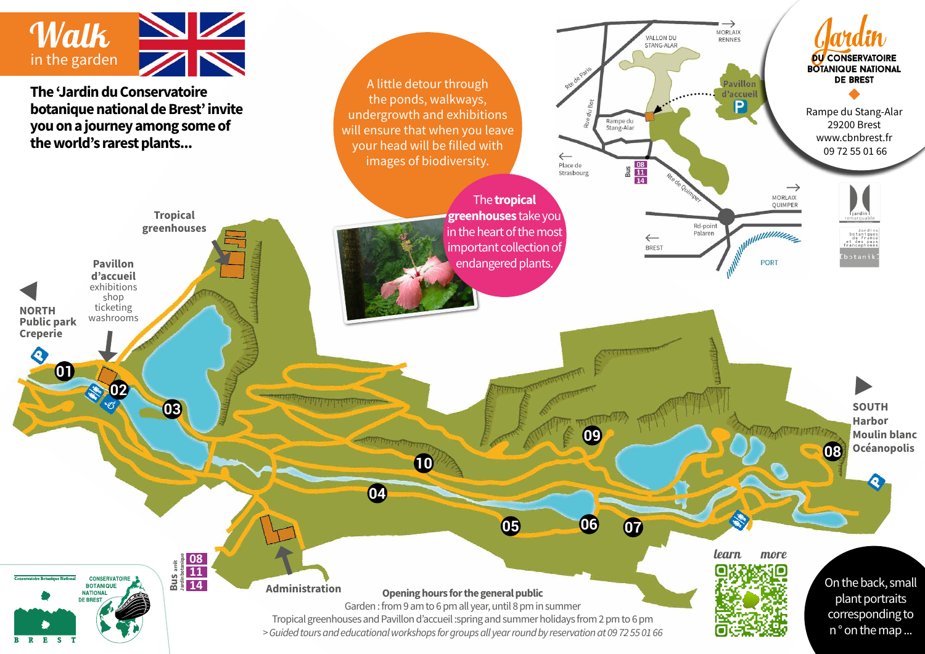

**The 'Jardin du Conservatoire botanique national de Brest' invite you on a journey among some of the world's rarest plants...**

> **Tropical greenhouses**

> > **03**

**11 14 19**<br> **Bus arrêd**<br> **Bus arrêd**<br> **Bus** 14 **Jardin botanique**

The 'Conservatoire botanique' gardens invite you on a journey among some of the world's rarest plants. The tropical greenhouses and the tropical greenhouses and the tropical greenhouses and the tropical greenhouses and the transmission of the transmission of the transmission of the t take you find the hot and humid zones to the driest deserts, in the driest deserts, in the driest deserts, in heart of France's most extensive collection of plants under the plants under the plants under the plants under extinction. A little detour through the point of the point of the point of the point of the point of the point of the point of the point of the point of the point of the point of the point of the point of the point of the and exhibitions will ensure the sure that will be a sure that will be a sure of the sure of the sure of the sure filled with images of biodiversity.

Toute l'année • de 9h à 19h • jusqu'à 20h à 19h • jusqu'à 20h lei 19h • jusqu'à 20h lei 19h • jusqu'à 20h lei

**United végétal du monde végétal en 30 hectares** Au cœur du Vallon du Stang-Alar, à deux pas du centre ville et d'Océanopolis, vous entre ville et de la propolis, vous entrez dans les un cadre magique où le département est assuré. L'alternative de la constantie de la constantie de la constantie Traversez la bambouseraie, apercevez la rade de Brest  $\mathbb{R}$  les observez les observez les oiseaux les oiseaux les oiseaux les oiseaux les oiseaux les oiseaux les oiseaux les oiseaux les oiseaux les oiseaux les oiseaux les oiseaux les oiseaux les oiseaux les oiseaux les oi près des étangs en laissant place à la détente et au plaisir des sens. Choux marins, séquoias géants, fougères arborescentes et palmiers vous promettent alors un véritable tour du monde végétal. Au fil des saisons, il y a toujours de belles découvertes à faire.

ses de la jardin conservation de la jardin conservation de la jardin conservation de la jardin conservation de

Liorzh ar mirva louzawouriezh a ginnig deoc'h ur veaj e-touez ar plant rouesañ er bed. An tiez-gwer tomm a gas ac'hanoc'h dre an dezerzhioù hag ar c'hoadoù trovanel, e-kreiz an dastumad brasañ a spesadoù plant en arvariadoù plant en arvariadoù plant en arvariadoù plant en arvariadoù plant en arv dre ar stankoù, an alezioù, ar c'hoadeier hag an diskouezh ar c'hoadeier hag an diskouezh ar c'hoadel ar c'hoad hag ez eoc'h kuit gant ur bern skeudennoù diwar-benn ar bevliesseurted.

**Administration**

**Pavillon d'accueil** exhibitions shop ticketing washrooms

**02**

CONSERVATOIRE **BOTANIQUE NATIONA** DE BRE

**NORTH Public park Creperie**

 $\bullet$ 

B R E S T

**01**

A little detour through the ponds, walkways, undergrowth and exhibitions will ensure that when you leave your head will be filled with images of biodiversity.

> **greenhouses** take you The **tropical**  $\mathop{\mathsf{important}}$  collection of endangered plants. in the heart of the most

and Spring holidays, the tropical greenhouses are open 2pm-6pm. Individual admission prices: 5,5€ full fee and 4€ reduced fee.

Visites guidées toute l'année en semaine  $\mathcal{E}$  reservation  $\mathcal{E}$  $\mathbb{R}$  bere 15 personnes • 1

**ACCÈS**

 $E$ 

**SCOLAIRES ET AUTRES GROUPES**

\* consultez les tarifs et horaires précis à l'intérieur du dépliant

Rampe du Stang-Alar 29200 Brest www.cbnbrest.fr 09 72 55 01 66

**DU CONSERVATOIRE BOTANIQUE NATIONAL DE BREST** 



**SOUTH Harbor**

**08**

**Moulin blanc Océanopolis**

ours for the general public Garden : from 9 am to 6 pm all year, until 8 pm in summer © Guillaume Team / Brest métropole **Opening hours for the general public** 

Liorzh ar mirva louzawouriezh a ginnig deoc'h ur veaj e-touez ar plant rouesañ er bed. An tiez-gwer tomm a gas ac'hanoc'h dre an dezerzhioù hag ar c'hoadoù trovanel, e-kreiz an dastumad

**04** the hot and humid zones to the hot and humid zones to the driest deserts, in the driest deserts, in the driest deserts, in the driest deserts, in the driest deserts, in the driest deserts, in the driest deserts, in th

The 'Conservatoire botanique' gardens invite you on a journey among some of the world's rarest plants. The tropical greenhouses plants in the tropical greenhouse  $\mathcal{A}(\mathcal{A})$ heart of France's most extensive collection of plants under the plants under the plants under the plants under extinction. A little detour through the point of the point of the point of the point of the point of the point of the point of the point of the point of the point of the point of the point of the point of the point of the

**Un tour du monde végétal en 30 hectares** Au ceu du Vallon du Stang-Alar, à deux pas de la pas de la pas de la pas de la pas de la pas de la pas de la du centre ville et d'Océanopolis, vous entrez dans

et au plaisir des sens. Choux marins, séquents, séquents, séquents, séquents, séquents, séquents, séquents, séquents, séquents, séquents, séquents, séquents, séquents, séquents, séquents, séquents, séquents, séquents, séqu founded arborescentes arborescentes et palmiers vous promettent arborescentes et palmiers vous promettent arbo alors un véritable tour du monde végétal. Au fil des saisons, il y a toujours de belles découvertes à faire de la proposait de la proposait de la proposait de la p

> Toute l'année • de 9h à 19h • jusqu'à 20h à 19h • jusqu'à 20h à 19h • jusqu'à 20h à 19h • jusqu'à 20h lei 19h et jusqu'à 18h l'hiver Gratuit

> > Rte de Paris

**10**

Tropical greenhouses and Pavillon d'accueil :spring and summer holidays from 2 pm to 6 pm .<br>19 augustiez de votre bres d'une région de voir en 1980 serres de la conservation de la procession de la conse<br>19 augustienne de votre de la conservation de la conservation de la conservation de la conservation de la con n<br>y<br>n Jardin conservatoire *> Guided tours and educational workshops for groups all year round by reservation at 09 72 55 01 66*

**06 06** 

Rue du BotRampe du

**09**

Rampe du Stang-Alar 29200 Brest 02 98 41 88 95

Etre an 2 hag ar 17 a viz Ebrel hag etre ar 1añ a viz Gouere betek an 31 a viz Eost e vez digor an tiez-gwer tomm eus 2 eur betek 6 eur goude merenn.

 $\leftarrow$ Place de Strasbourg

**07** Rte de Paris

Conception - Photos Conceptions spécial - Impression sur papier PEFC issues gérées durablement avec encres végétales

 $\frac{9}{11}$   $\frac{11}{14}$ 

 $\leftarrow$ **BREST** 

Rampe du<br>Stang-Alar

VALLON DU

STANG-ALAR

Visites guidées toute l'année en semaine sur réservation de la proposition de la proposition de la proposition de la proposition de la proposition de la  $\mathbf{p}$  particles  $\mathbf{p}$  is 1h30  $\mathbf{p}$  for  $\mathbf{p}$ 

Morlaix-Rennes N12-E5

VALLON DU STANG-ALAR PARC PUBLIC

<sup>2</sup> <sup>1</sup>

Rue du BotRampe du Stang-Alar

**SCORE EXECUTE** 

e consultat les tarifs et horaires précis à l'intérieur du dépendieur du déplication du département du département du JARDIN CONSERVATOIRE Toute l'année

**INDIVIDUELS** 

Palaren

Rd-point

 $\rightarrow$ MORLAIX

RENNES

Pavillon d'accueil P

From April 2012, the 17th and 17th and 17th and 17th and 17th and 17th and 17th and 17th and 17th and 17th and are open 2pm-6pm. Individual admission prices: 5,5€ full fee and 4€ reduced fee. The second fee and 4€ reduced fee. The second fee and 4€ reduced fee. The second

> Rampe du Stang-Alar 29200 Brest 98 98 5 Quimper Brest Rte de Quimper Rue de Verdun learn more

JARDIN DU CONSERVATORI BOTANIQUE

OCÉANOPOLIS

Jardin Du Conservation Du Conservation

 $\rightarrow$ 

 $\mathbf{B}$ 

Etre an 2 hag ar 17 a viz Ebrel hag etre ar 1añ a viz Gouere betek an 31 a viz Eost e vez digor an tiez-gwer tomm eus 2 eur betek 6 eur goude merenn. Prizioù evit ar gweladennoù hinienel:  $5,56$  prize boutin,  $45$  prize boutin,  $45$  prize boutin,  $45$ digoust evit ar vugale dindan 10 vloaz.

plant portraits  $\frac{1}{2}$ Conception - Photos CBN de Brest sauf mentions spécial - Impression sur papier PEFC issu de forêts gérées durablement avec encres végétales On the back, small n ° on the map ...